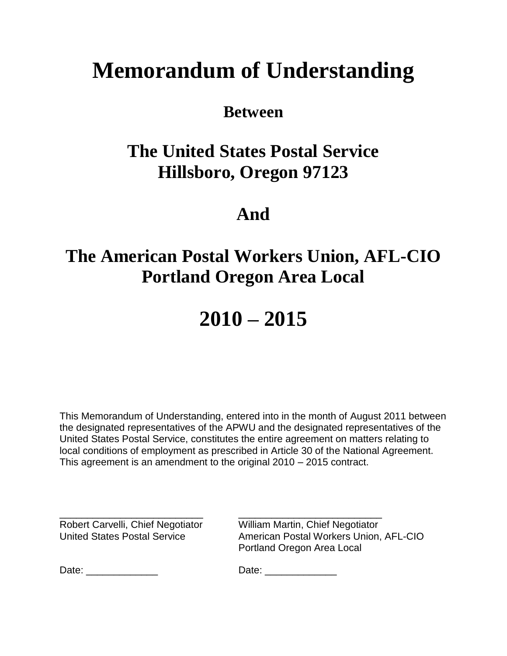# **Memorandum of Understanding**

### **Between**

## **The United States Postal Service Hillsboro, Oregon 97123**

### **And**

## **The American Postal Workers Union, AFL-CIO Portland Oregon Area Local**

## **2010 – 2015**

This Memorandum of Understanding, entered into in the month of August 2011 between the designated representatives of the APWU and the designated representatives of the United States Postal Service, constitutes the entire agreement on matters relating to local conditions of employment as prescribed in Article 30 of the National Agreement. This agreement is an amendment to the original 2010 – 2015 contract.

Robert Carvelli, Chief Negotiator William Martin, Chief Negotiator

\_\_\_\_\_\_\_\_\_\_\_\_\_\_\_\_\_\_\_\_\_\_\_\_\_\_ \_\_\_\_\_\_\_\_\_\_\_\_\_\_\_\_\_\_\_\_\_\_\_\_\_\_ United States Postal Service **American Postal Workers Union, AFL-CIO** Portland Oregon Area Local

Date: \_\_\_\_\_\_\_\_\_\_\_\_\_ Date: \_\_\_\_\_\_\_\_\_\_\_\_\_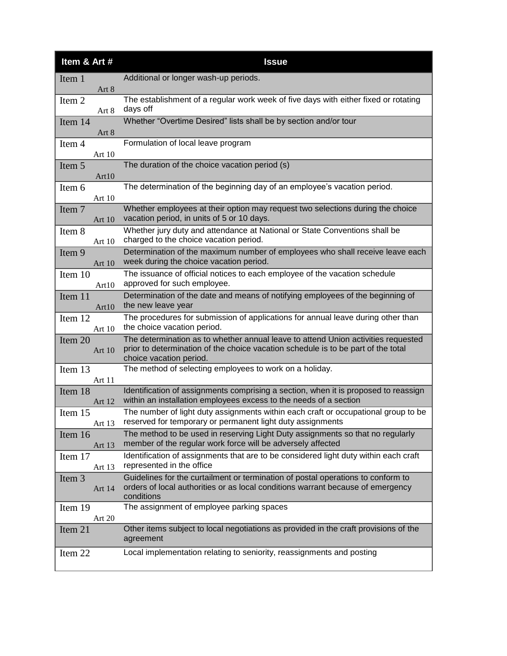| Item & Art #      | <b>Issue</b>                                                                                                                                                                                      |
|-------------------|---------------------------------------------------------------------------------------------------------------------------------------------------------------------------------------------------|
| Item 1<br>Art 8   | Additional or longer wash-up periods.                                                                                                                                                             |
| Item 2<br>Art 8   | The establishment of a regular work week of five days with either fixed or rotating<br>days off                                                                                                   |
| Item 14<br>Art 8  | Whether "Overtime Desired" lists shall be by section and/or tour                                                                                                                                  |
| Item 4<br>Art 10  | Formulation of local leave program                                                                                                                                                                |
| Item 5<br>Art10   | The duration of the choice vacation period (s)                                                                                                                                                    |
| Item 6<br>Art 10  | The determination of the beginning day of an employee's vacation period.                                                                                                                          |
| Item 7<br>Art 10  | Whether employees at their option may request two selections during the choice<br>vacation period, in units of 5 or 10 days.                                                                      |
| Item 8<br>Art 10  | Whether jury duty and attendance at National or State Conventions shall be<br>charged to the choice vacation period.                                                                              |
| Item 9<br>Art 10  | Determination of the maximum number of employees who shall receive leave each<br>week during the choice vacation period.                                                                          |
| Item 10<br>Art10  | The issuance of official notices to each employee of the vacation schedule<br>approved for such employee.                                                                                         |
| Item 11<br>Art10  | Determination of the date and means of notifying employees of the beginning of<br>the new leave year                                                                                              |
| Item 12<br>Art 10 | The procedures for submission of applications for annual leave during other than<br>the choice vacation period.                                                                                   |
| Item 20<br>Art 10 | The determination as to whether annual leave to attend Union activities requested<br>prior to determination of the choice vacation schedule is to be part of the total<br>choice vacation period. |
| Item 13<br>Art 11 | The method of selecting employees to work on a holiday.                                                                                                                                           |
| Item 18<br>Art 12 | Identification of assignments comprising a section, when it is proposed to reassign<br>within an installation employees excess to the needs of a section                                          |
| Item 15<br>Art 13 | The number of light duty assignments within each craft or occupational group to be<br>reserved for temporary or permanent light duty assignments                                                  |
| Item 16<br>Art 13 | The method to be used in reserving Light Duty assignments so that no regularly<br>member of the regular work force will be adversely affected                                                     |
| Item 17<br>Art 13 | Identification of assignments that are to be considered light duty within each craft<br>represented in the office                                                                                 |
| Item 3<br>Art 14  | Guidelines for the curtailment or termination of postal operations to conform to<br>orders of local authorities or as local conditions warrant because of emergency<br>conditions                 |
| Item 19<br>Art 20 | The assignment of employee parking spaces                                                                                                                                                         |
| Item 21           | Other items subject to local negotiations as provided in the craft provisions of the<br>agreement                                                                                                 |
| Item 22           | Local implementation relating to seniority, reassignments and posting                                                                                                                             |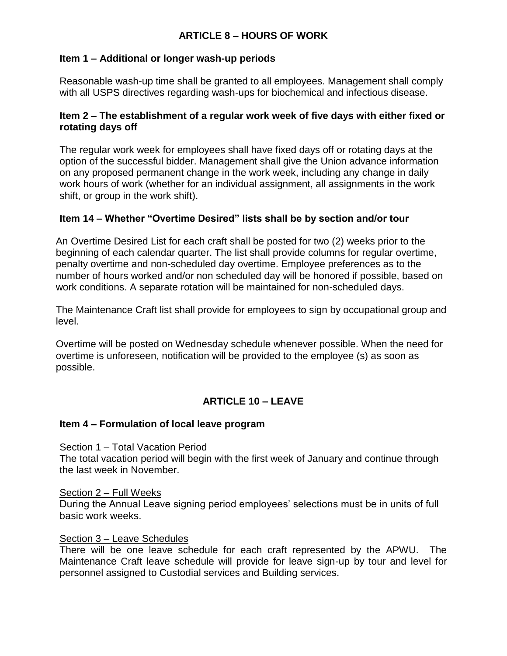#### **ARTICLE 8 – HOURS OF WORK**

#### **Item 1 – Additional or longer wash-up periods**

Reasonable wash-up time shall be granted to all employees. Management shall comply with all USPS directives regarding wash-ups for biochemical and infectious disease.

#### **Item 2 – The establishment of a regular work week of five days with either fixed or rotating days off**

The regular work week for employees shall have fixed days off or rotating days at the option of the successful bidder. Management shall give the Union advance information on any proposed permanent change in the work week, including any change in daily work hours of work (whether for an individual assignment, all assignments in the work shift, or group in the work shift).

#### **Item 14 – Whether "Overtime Desired" lists shall be by section and/or tour**

An Overtime Desired List for each craft shall be posted for two (2) weeks prior to the beginning of each calendar quarter. The list shall provide columns for regular overtime, penalty overtime and non-scheduled day overtime. Employee preferences as to the number of hours worked and/or non scheduled day will be honored if possible, based on work conditions. A separate rotation will be maintained for non-scheduled days.

The Maintenance Craft list shall provide for employees to sign by occupational group and level.

Overtime will be posted on Wednesday schedule whenever possible. When the need for overtime is unforeseen, notification will be provided to the employee (s) as soon as possible.

#### **ARTICLE 10 – LEAVE**

#### **Item 4 – Formulation of local leave program**

#### Section 1 – Total Vacation Period

The total vacation period will begin with the first week of January and continue through the last week in November.

#### Section 2 – Full Weeks

During the Annual Leave signing period employees' selections must be in units of full basic work weeks.

#### Section 3 – Leave Schedules

There will be one leave schedule for each craft represented by the APWU. The Maintenance Craft leave schedule will provide for leave sign-up by tour and level for personnel assigned to Custodial services and Building services.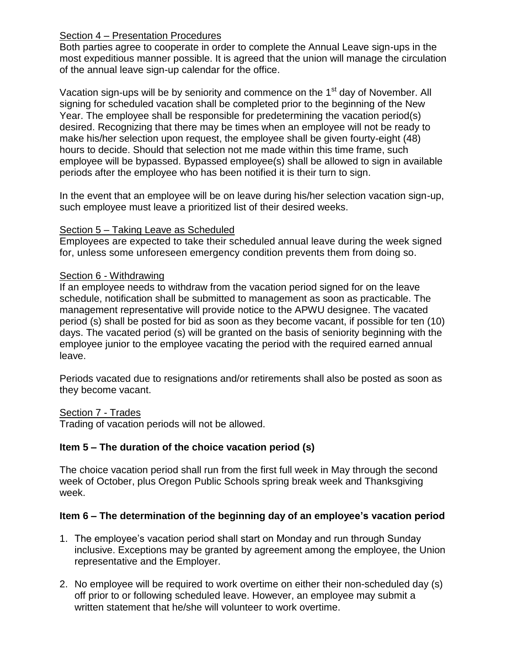#### Section 4 – Presentation Procedures

Both parties agree to cooperate in order to complete the Annual Leave sign-ups in the most expeditious manner possible. It is agreed that the union will manage the circulation of the annual leave sign-up calendar for the office.

Vacation sign-ups will be by seniority and commence on the 1<sup>st</sup> day of November. All signing for scheduled vacation shall be completed prior to the beginning of the New Year. The employee shall be responsible for predetermining the vacation period(s) desired. Recognizing that there may be times when an employee will not be ready to make his/her selection upon request, the employee shall be given fourty-eight (48) hours to decide. Should that selection not me made within this time frame, such employee will be bypassed. Bypassed employee(s) shall be allowed to sign in available periods after the employee who has been notified it is their turn to sign.

In the event that an employee will be on leave during his/her selection vacation sign-up, such employee must leave a prioritized list of their desired weeks.

#### Section 5 – Taking Leave as Scheduled

Employees are expected to take their scheduled annual leave during the week signed for, unless some unforeseen emergency condition prevents them from doing so.

#### Section 6 - Withdrawing

If an employee needs to withdraw from the vacation period signed for on the leave schedule, notification shall be submitted to management as soon as practicable. The management representative will provide notice to the APWU designee. The vacated period (s) shall be posted for bid as soon as they become vacant, if possible for ten (10) days. The vacated period (s) will be granted on the basis of seniority beginning with the employee junior to the employee vacating the period with the required earned annual leave.

Periods vacated due to resignations and/or retirements shall also be posted as soon as they become vacant.

#### Section 7 - Trades

Trading of vacation periods will not be allowed.

#### **Item 5 – The duration of the choice vacation period (s)**

The choice vacation period shall run from the first full week in May through the second week of October, plus Oregon Public Schools spring break week and Thanksgiving week.

#### **Item 6 – The determination of the beginning day of an employee's vacation period**

- 1. The employee's vacation period shall start on Monday and run through Sunday inclusive. Exceptions may be granted by agreement among the employee, the Union representative and the Employer.
- 2. No employee will be required to work overtime on either their non-scheduled day (s) off prior to or following scheduled leave. However, an employee may submit a written statement that he/she will volunteer to work overtime.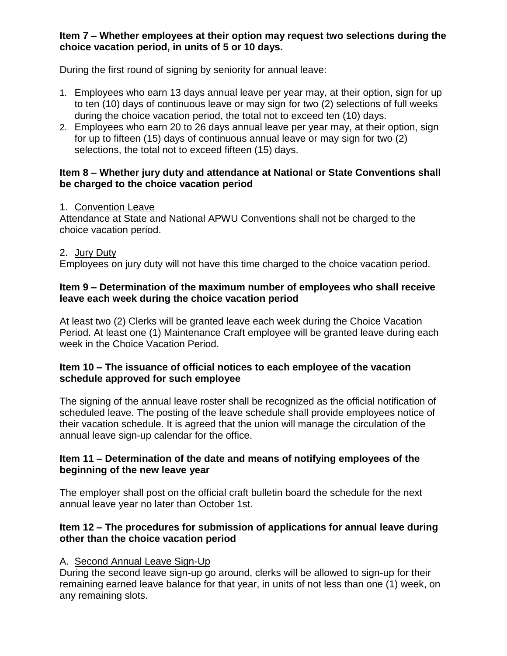#### **Item 7 – Whether employees at their option may request two selections during the choice vacation period, in units of 5 or 10 days.**

During the first round of signing by seniority for annual leave:

- 1. Employees who earn 13 days annual leave per year may, at their option, sign for up to ten (10) days of continuous leave or may sign for two (2) selections of full weeks during the choice vacation period, the total not to exceed ten (10) days.
- 2. Employees who earn 20 to 26 days annual leave per year may, at their option, sign for up to fifteen (15) days of continuous annual leave or may sign for two (2) selections, the total not to exceed fifteen (15) days.

#### **Item 8 – Whether jury duty and attendance at National or State Conventions shall be charged to the choice vacation period**

#### 1. Convention Leave

Attendance at State and National APWU Conventions shall not be charged to the choice vacation period.

#### 2. Jury Duty

Employees on jury duty will not have this time charged to the choice vacation period.

#### **Item 9 – Determination of the maximum number of employees who shall receive leave each week during the choice vacation period**

At least two (2) Clerks will be granted leave each week during the Choice Vacation Period. At least one (1) Maintenance Craft employee will be granted leave during each week in the Choice Vacation Period.

#### **Item 10 – The issuance of official notices to each employee of the vacation schedule approved for such employee**

The signing of the annual leave roster shall be recognized as the official notification of scheduled leave. The posting of the leave schedule shall provide employees notice of their vacation schedule. It is agreed that the union will manage the circulation of the annual leave sign-up calendar for the office.

#### **Item 11 – Determination of the date and means of notifying employees of the beginning of the new leave year**

The employer shall post on the official craft bulletin board the schedule for the next annual leave year no later than October 1st.

#### **Item 12 – The procedures for submission of applications for annual leave during other than the choice vacation period**

#### A. Second Annual Leave Sign-Up

During the second leave sign-up go around, clerks will be allowed to sign-up for their remaining earned leave balance for that year, in units of not less than one (1) week, on any remaining slots.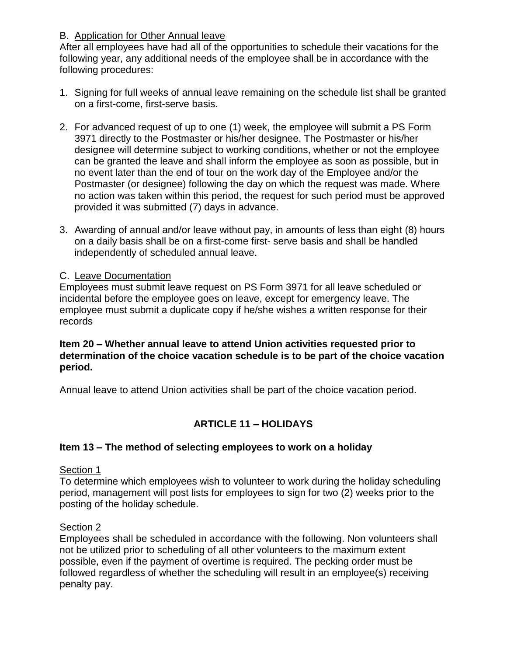#### B. Application for Other Annual leave

After all employees have had all of the opportunities to schedule their vacations for the following year, any additional needs of the employee shall be in accordance with the following procedures:

- 1. Signing for full weeks of annual leave remaining on the schedule list shall be granted on a first-come, first-serve basis.
- 2. For advanced request of up to one (1) week, the employee will submit a PS Form 3971 directly to the Postmaster or his/her designee. The Postmaster or his/her designee will determine subject to working conditions, whether or not the employee can be granted the leave and shall inform the employee as soon as possible, but in no event later than the end of tour on the work day of the Employee and/or the Postmaster (or designee) following the day on which the request was made. Where no action was taken within this period, the request for such period must be approved provided it was submitted (7) days in advance.
- 3. Awarding of annual and/or leave without pay, in amounts of less than eight (8) hours on a daily basis shall be on a first-come first- serve basis and shall be handled independently of scheduled annual leave.

#### C. Leave Documentation

Employees must submit leave request on PS Form 3971 for all leave scheduled or incidental before the employee goes on leave, except for emergency leave. The employee must submit a duplicate copy if he/she wishes a written response for their records

#### **Item 20 – Whether annual leave to attend Union activities requested prior to determination of the choice vacation schedule is to be part of the choice vacation period.**

Annual leave to attend Union activities shall be part of the choice vacation period.

#### **ARTICLE 11 – HOLIDAYS**

#### **Item 13 – The method of selecting employees to work on a holiday**

#### Section 1

To determine which employees wish to volunteer to work during the holiday scheduling period, management will post lists for employees to sign for two (2) weeks prior to the posting of the holiday schedule.

#### Section 2

Employees shall be scheduled in accordance with the following. Non volunteers shall not be utilized prior to scheduling of all other volunteers to the maximum extent possible, even if the payment of overtime is required. The pecking order must be followed regardless of whether the scheduling will result in an employee(s) receiving penalty pay.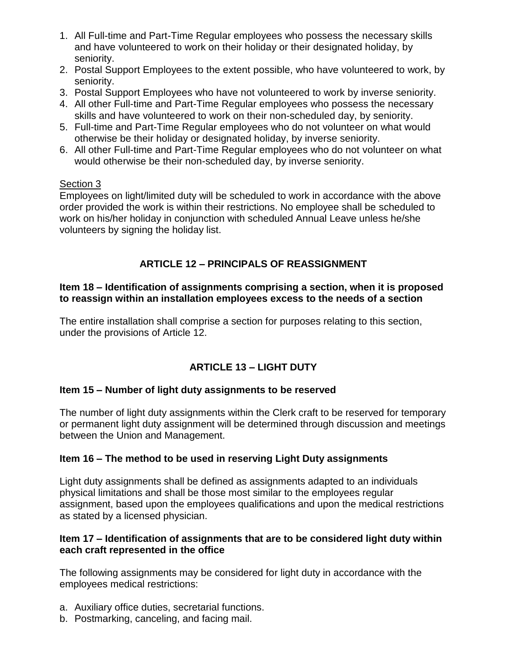- 1. All Full-time and Part-Time Regular employees who possess the necessary skills and have volunteered to work on their holiday or their designated holiday, by seniority.
- 2. Postal Support Employees to the extent possible, who have volunteered to work, by seniority.
- 3. Postal Support Employees who have not volunteered to work by inverse seniority.
- 4. All other Full-time and Part-Time Regular employees who possess the necessary skills and have volunteered to work on their non-scheduled day, by seniority.
- 5. Full-time and Part-Time Regular employees who do not volunteer on what would otherwise be their holiday or designated holiday, by inverse seniority.
- 6. All other Full-time and Part-Time Regular employees who do not volunteer on what would otherwise be their non-scheduled day, by inverse seniority.

#### Section 3

Employees on light/limited duty will be scheduled to work in accordance with the above order provided the work is within their restrictions. No employee shall be scheduled to work on his/her holiday in conjunction with scheduled Annual Leave unless he/she volunteers by signing the holiday list.

#### **ARTICLE 12 – PRINCIPALS OF REASSIGNMENT**

#### **Item 18 – Identification of assignments comprising a section, when it is proposed to reassign within an installation employees excess to the needs of a section**

The entire installation shall comprise a section for purposes relating to this section, under the provisions of Article 12.

#### **ARTICLE 13 – LIGHT DUTY**

#### **Item 15 – Number of light duty assignments to be reserved**

The number of light duty assignments within the Clerk craft to be reserved for temporary or permanent light duty assignment will be determined through discussion and meetings between the Union and Management.

#### **Item 16 – The method to be used in reserving Light Duty assignments**

Light duty assignments shall be defined as assignments adapted to an individuals physical limitations and shall be those most similar to the employees regular assignment, based upon the employees qualifications and upon the medical restrictions as stated by a licensed physician.

#### **Item 17 – Identification of assignments that are to be considered light duty within each craft represented in the office**

The following assignments may be considered for light duty in accordance with the employees medical restrictions:

- a. Auxiliary office duties, secretarial functions.
- b. Postmarking, canceling, and facing mail.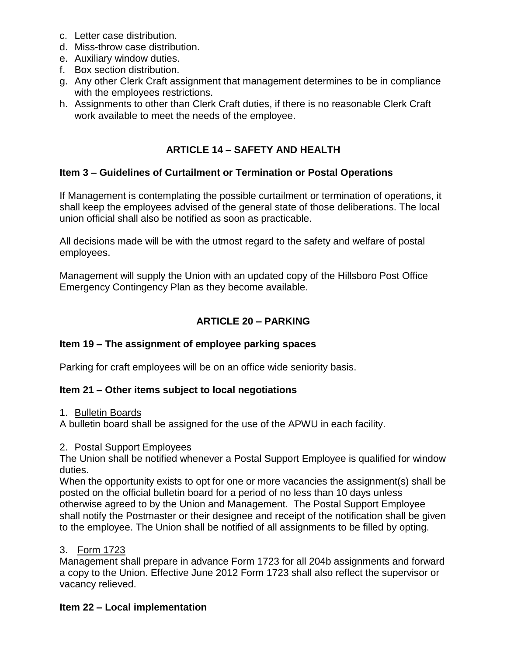- c. Letter case distribution.
- d. Miss-throw case distribution.
- e. Auxiliary window duties.
- f. Box section distribution.
- g. Any other Clerk Craft assignment that management determines to be in compliance with the employees restrictions.
- h. Assignments to other than Clerk Craft duties, if there is no reasonable Clerk Craft work available to meet the needs of the employee.

#### **ARTICLE 14 – SAFETY AND HEALTH**

#### **Item 3 – Guidelines of Curtailment or Termination or Postal Operations**

If Management is contemplating the possible curtailment or termination of operations, it shall keep the employees advised of the general state of those deliberations. The local union official shall also be notified as soon as practicable.

All decisions made will be with the utmost regard to the safety and welfare of postal employees.

Management will supply the Union with an updated copy of the Hillsboro Post Office Emergency Contingency Plan as they become available.

#### **ARTICLE 20 – PARKING**

#### **Item 19 – The assignment of employee parking spaces**

Parking for craft employees will be on an office wide seniority basis.

#### **Item 21 – Other items subject to local negotiations**

#### 1. Bulletin Boards

A bulletin board shall be assigned for the use of the APWU in each facility.

#### 2. Postal Support Employees

The Union shall be notified whenever a Postal Support Employee is qualified for window duties.

When the opportunity exists to opt for one or more vacancies the assignment(s) shall be posted on the official bulletin board for a period of no less than 10 days unless otherwise agreed to by the Union and Management. The Postal Support Employee shall notify the Postmaster or their designee and receipt of the notification shall be given to the employee. The Union shall be notified of all assignments to be filled by opting.

#### 3. Form 1723

Management shall prepare in advance Form 1723 for all 204b assignments and forward a copy to the Union. Effective June 2012 Form 1723 shall also reflect the supervisor or vacancy relieved.

#### **Item 22 – Local implementation**